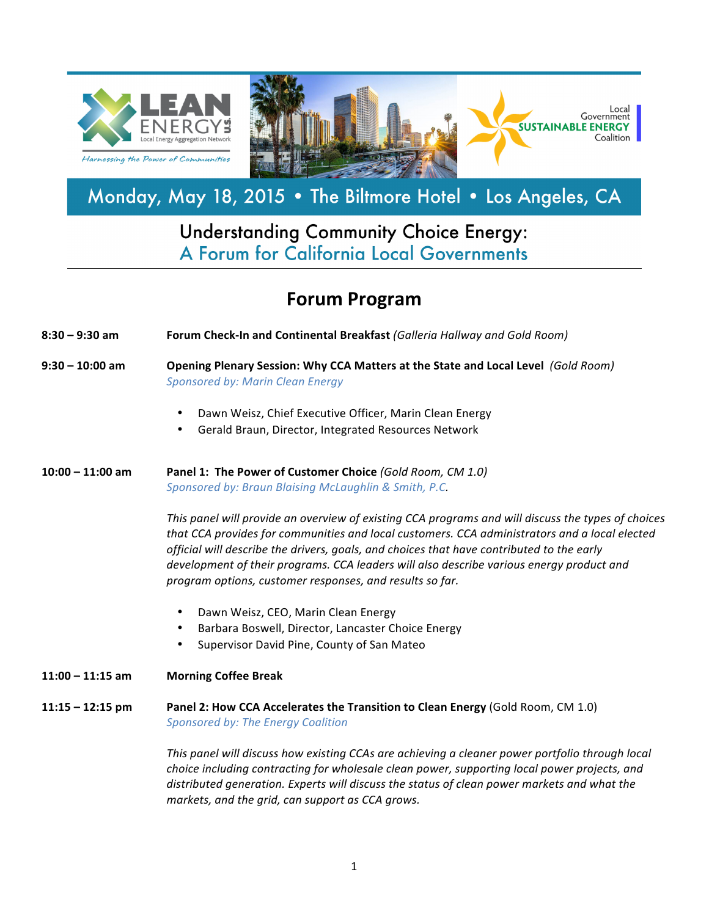

## Monday, May 18, 2015 . The Biltmore Hotel . Los Angeles, CA

## **Understanding Community Choice Energy:** A Forum for California Local Governments

## **Forum Program**

- **8:30 – 9:30 am Forum Check-In and Continental Breakfast** *(Galleria Hallway and Gold Room)*
- **9:30 – 10:00 am Opening Plenary Session: Why CCA Matters at the State and Local Level**  *(Gold Room) Sponsored by: Marin Clean Energy*
	- Dawn Weisz, Chief Executive Officer, Marin Clean Energy
	- Gerald Braun, Director, Integrated Resources Network

**10:00 – 11:00 am Panel 1: The Power of Customer Choice** *(Gold Room, CM 1.0)* Sponsored by: Braun Blaising McLaughlin & Smith, P.C.

> This panel will provide an overview of existing CCA programs and will discuss the types of choices that CCA provides for communities and local customers. CCA administrators and a local elected *official* will describe the drivers, goals, and choices that have contributed to the early development of their programs. CCA leaders will also describe various energy product and *program options, customer responses, and results so far.*

- Dawn Weisz, CEO, Marin Clean Energy
- Barbara Boswell, Director, Lancaster Choice Energy
- Supervisor David Pine, County of San Mateo
- **11:00 – 11:15 am Morning Coffee Break**
- **11:15 12:15** pm **Panel 2: How CCA Accelerates the Transition to Clean Energy (Gold Room, CM 1.0)** *Sponsored by: The Energy Coalition*

This panel will discuss how existing CCAs are achieving a cleaner power portfolio through local *choice including contracting for wholesale clean power, supporting local power projects, and* distributed generation. Experts will discuss the status of clean power markets and what the *markets, and the grid, can support as CCA grows.*